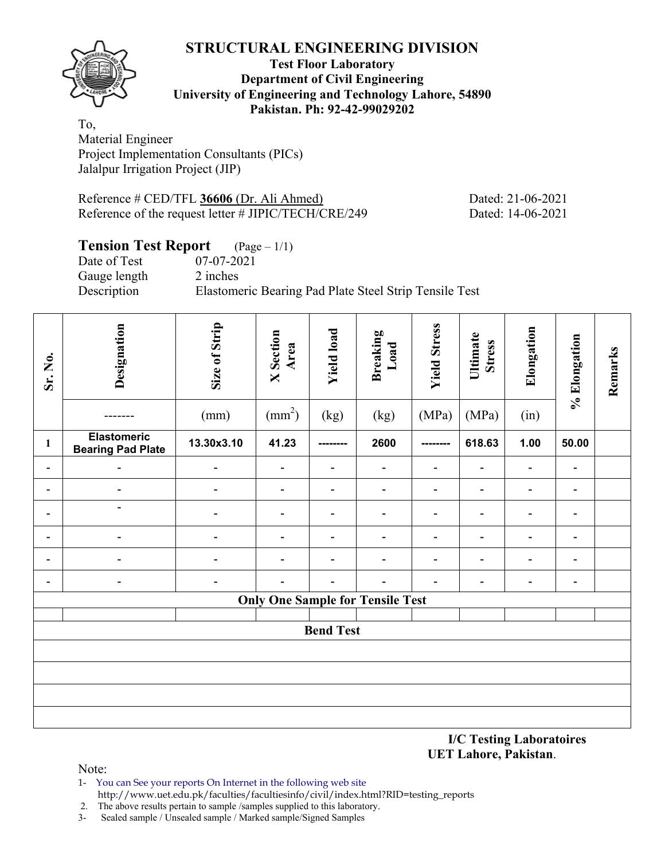

#### **Test Floor Laboratory Department of Civil Engineering University of Engineering and Technology Lahore, 54890 Pakistan. Ph: 92-42-99029202**

To, Material Engineer Project Implementation Consultants (PICs) Jalalpur Irrigation Project (JIP)

Reference # CED/TFL **36606** (Dr. Ali Ahmed) Dated: 21-06-2021 Reference of the request letter # JIPIC/TECH/CRE/249 Dated: 14-06-2021

# **Tension Test Report** (Page – 1/1)

Date of Test 07-07-2021 Gauge length 2 inches

Description Elastomeric Bearing Pad Plate Steel Strip Tensile Test

| Sr. No.                  | Designation                                    | Size of Strip<br>(mm)    | <b>X</b> Section<br>Area<br>$\text{(mm}^2)$ | <b>Yield load</b><br>(kg) | <b>Breaking</b><br>Load<br>(kg)         | <b>Yield Stress</b><br>(MPa) | Ultimate<br><b>Stress</b><br>(MPa) | Elongation<br>(in)           | % Elongation             | Remarks |
|--------------------------|------------------------------------------------|--------------------------|---------------------------------------------|---------------------------|-----------------------------------------|------------------------------|------------------------------------|------------------------------|--------------------------|---------|
| $\mathbf{1}$             | <b>Elastomeric</b><br><b>Bearing Pad Plate</b> | 13.30x3.10               | 41.23                                       | ---------                 | 2600                                    | --------                     | 618.63                             | 1.00                         | 50.00                    |         |
| $\overline{\phantom{a}}$ |                                                | $\overline{\phantom{a}}$ | $\overline{\phantom{0}}$                    | $\overline{\phantom{0}}$  |                                         | $\qquad \qquad \blacksquare$ | $\overline{a}$                     |                              | $\blacksquare$           |         |
| $\qquad \qquad =$        | $\overline{\phantom{a}}$                       | $\overline{\phantom{0}}$ | $\overline{a}$                              | $\overline{\phantom{a}}$  | $\overline{\phantom{0}}$                | $\overline{\phantom{a}}$     | $\overline{\phantom{a}}$           | $\qquad \qquad \blacksquare$ | $\overline{a}$           |         |
|                          | $\overline{\phantom{a}}$                       |                          | $\overline{\phantom{0}}$                    | $\overline{\phantom{0}}$  |                                         | $\overline{a}$               |                                    | -                            | $\overline{a}$           |         |
|                          | $\overline{\phantom{0}}$                       |                          | $\overline{\phantom{0}}$                    | $\blacksquare$            | $\overline{a}$                          | $\overline{\phantom{0}}$     | $\overline{\phantom{0}}$           | $\qquad \qquad \blacksquare$ | $\overline{\phantom{0}}$ |         |
|                          |                                                |                          | $\overline{\phantom{0}}$                    | $\overline{\phantom{0}}$  |                                         | $\overline{a}$               | $\blacksquare$                     | -                            | $\overline{a}$           |         |
|                          | $\overline{a}$                                 |                          |                                             |                           |                                         | $\blacksquare$               |                                    | -                            | $\blacksquare$           |         |
|                          |                                                |                          |                                             |                           | <b>Only One Sample for Tensile Test</b> |                              |                                    |                              |                          |         |
|                          |                                                |                          |                                             | <b>Bend Test</b>          |                                         |                              |                                    |                              |                          |         |
|                          |                                                |                          |                                             |                           |                                         |                              |                                    |                              |                          |         |
|                          |                                                |                          |                                             |                           |                                         |                              |                                    |                              |                          |         |
|                          |                                                |                          |                                             |                           |                                         |                              |                                    |                              |                          |         |
|                          |                                                |                          |                                             |                           |                                         |                              |                                    |                              |                          |         |

**I/C Testing Laboratoires UET Lahore, Pakistan**.

- 1- You can See your reports On Internet in the following web site http://www.uet.edu.pk/faculties/facultiesinfo/civil/index.html?RID=testing\_reports
- 2. The above results pertain to sample /samples supplied to this laboratory.
- 3- Sealed sample / Unsealed sample / Marked sample/Signed Samples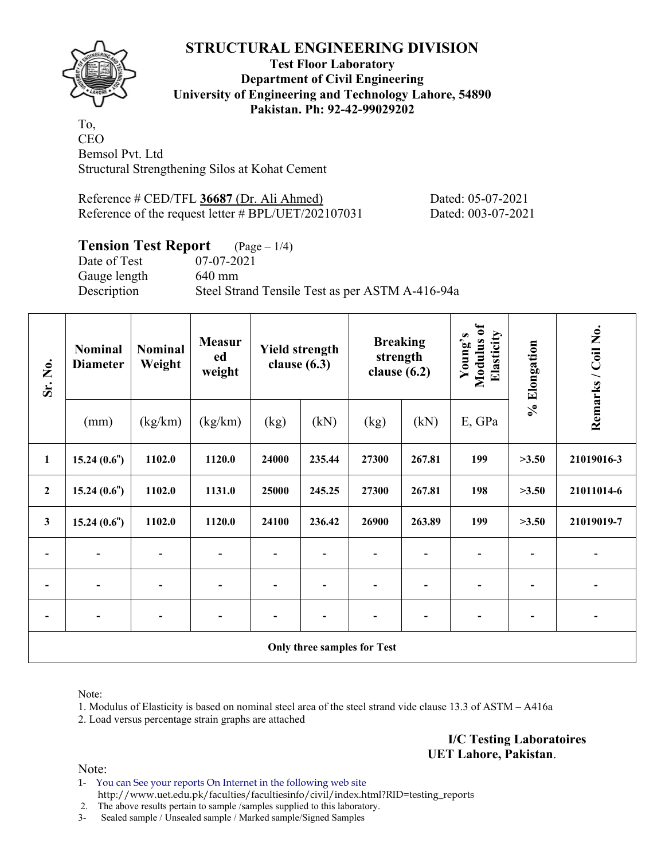

**Test Floor Laboratory Department of Civil Engineering University of Engineering and Technology Lahore, 54890 Pakistan. Ph: 92-42-99029202** 

To, CEO Bemsol Pvt. Ltd Structural Strengthening Silos at Kohat Cement

Reference # CED/TFL **36687** (Dr. Ali Ahmed) Dated: 05-07-2021 Reference of the request letter # BPL/UET/202107031 Dated: 003-07-2021

#### **Tension Test Report** (Page – 1/4)

Gauge length 640 mm

Date of Test 07-07-2021 Description Steel Strand Tensile Test as per ASTM A-416-94a

| Sr. No.                  | <b>Nominal</b><br><b>Diameter</b> | <b>Nominal</b><br>Weight | <b>Measur</b><br>ed<br>weight |                          | <b>Yield strength</b><br>clause $(6.3)$ | <b>Breaking</b><br>strength<br>clause $(6.2)$ |        | Modulus of<br>Elasticity<br>Young's | % Elongation | Remarks / Coil No. |
|--------------------------|-----------------------------------|--------------------------|-------------------------------|--------------------------|-----------------------------------------|-----------------------------------------------|--------|-------------------------------------|--------------|--------------------|
|                          | (mm)                              | (kg/km)                  | (kg/km)                       | (kg)                     | (kN)                                    | (kg)                                          | (kN)   | E, GPa                              |              |                    |
| $\mathbf{1}$             | 15.24(0.6")                       | 1102.0                   | 1120.0                        | 24000                    | 235.44                                  | 27300                                         | 267.81 | 199                                 | >3.50        | 21019016-3         |
| $\mathbf 2$              | 15.24(0.6")                       | 1102.0                   | 1131.0                        | 25000                    | 245.25                                  | 27300<br>267.81                               |        | 198                                 | >3.50        | 21011014-6         |
| $\overline{\mathbf{3}}$  | 15.24(0.6")                       | 1102.0                   | 1120.0                        | 24100                    | 236.42                                  | 26900                                         | 263.89 | 199                                 | >3.50        | 21019019-7         |
| $\blacksquare$           | $\overline{\phantom{a}}$          |                          | $\blacksquare$                | $\overline{\phantom{a}}$ | $\overline{\phantom{a}}$                | $\overline{\phantom{a}}$                      |        | $\overline{\phantom{a}}$            |              |                    |
| $\overline{\phantom{a}}$ | $\blacksquare$                    | $\blacksquare$           |                               | $\overline{\phantom{a}}$ | $\overline{\phantom{a}}$                |                                               |        | $\overline{\phantom{a}}$            |              |                    |
| $\overline{\phantom{a}}$ |                                   |                          |                               | $\overline{\phantom{a}}$ | $\overline{\phantom{a}}$                |                                               |        | $\overline{\phantom{0}}$            |              |                    |
|                          |                                   |                          |                               |                          |                                         | Only three samples for Test                   |        |                                     |              |                    |

Note:

1. Modulus of Elasticity is based on nominal steel area of the steel strand vide clause 13.3 of ASTM – A416a

2. Load versus percentage strain graphs are attached

**I/C Testing Laboratoires UET Lahore, Pakistan**.

Note:

1- You can See your reports On Internet in the following web site http://www.uet.edu.pk/faculties/facultiesinfo/civil/index.html?RID=testing\_reports

2. The above results pertain to sample /samples supplied to this laboratory.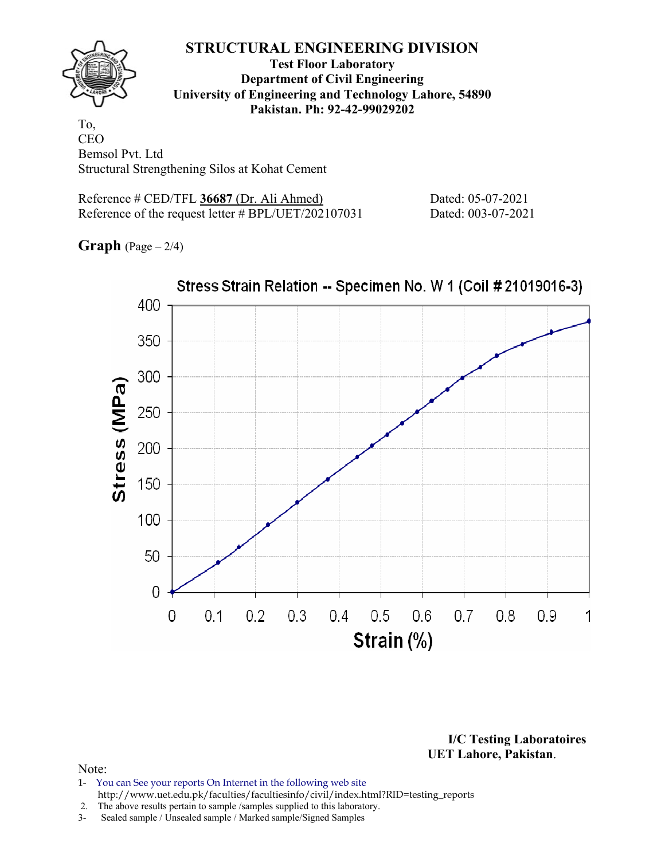

**Test Floor Laboratory Department of Civil Engineering University of Engineering and Technology Lahore, 54890 Pakistan. Ph: 92-42-99029202** 

To, **CEO** Bemsol Pvt. Ltd Structural Strengthening Silos at Kohat Cement

Reference # CED/TFL **36687** (Dr. Ali Ahmed) Dated: 05-07-2021 Reference of the request letter # BPL/UET/202107031 Dated: 003-07-2021

**Graph** (Page – 2/4)



**I/C Testing Laboratoires UET Lahore, Pakistan**.

- 1- You can See your reports On Internet in the following web site http://www.uet.edu.pk/faculties/facultiesinfo/civil/index.html?RID=testing\_reports
- 2. The above results pertain to sample /samples supplied to this laboratory.
- 3- Sealed sample / Unsealed sample / Marked sample/Signed Samples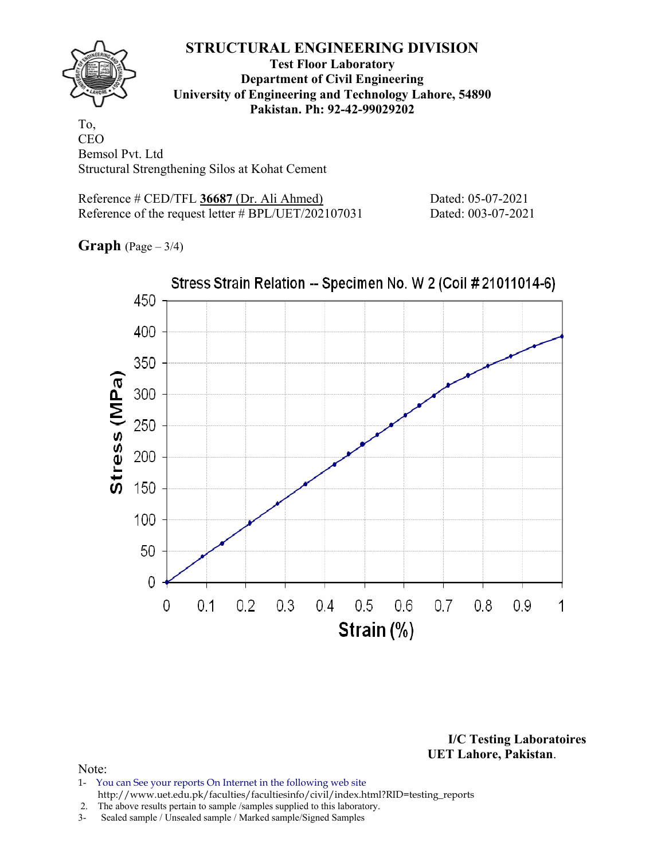

**Test Floor Laboratory Department of Civil Engineering University of Engineering and Technology Lahore, 54890 Pakistan. Ph: 92-42-99029202** 

To, CEO Bemsol Pvt. Ltd Structural Strengthening Silos at Kohat Cement

Reference # CED/TFL **36687** (Dr. Ali Ahmed) Dated: 05-07-2021 Reference of the request letter # BPL/UET/202107031 Dated: 003-07-2021

**Graph** (Page – 3/4)



**I/C Testing Laboratoires UET Lahore, Pakistan**.

- 1- You can See your reports On Internet in the following web site http://www.uet.edu.pk/faculties/facultiesinfo/civil/index.html?RID=testing\_reports
- 2. The above results pertain to sample /samples supplied to this laboratory.
- 3- Sealed sample / Unsealed sample / Marked sample/Signed Samples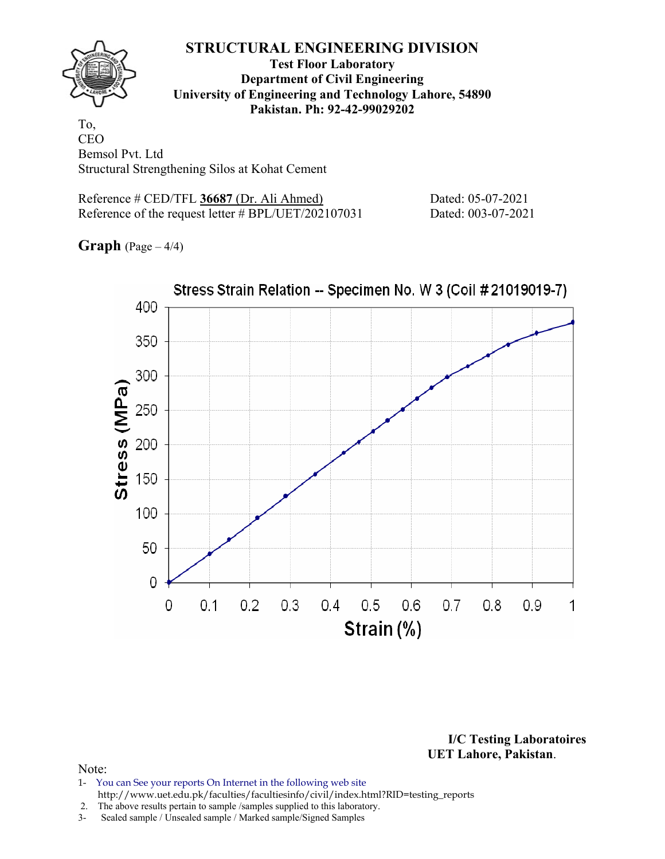

**Test Floor Laboratory Department of Civil Engineering University of Engineering and Technology Lahore, 54890 Pakistan. Ph: 92-42-99029202** 

To, CEO Bemsol Pvt. Ltd Structural Strengthening Silos at Kohat Cement

Reference # CED/TFL **36687** (Dr. Ali Ahmed) Dated: 05-07-2021 Reference of the request letter # BPL/UET/202107031 Dated: 003-07-2021

**Graph** (Page – 4/4)



**I/C Testing Laboratoires UET Lahore, Pakistan**.

- 1- You can See your reports On Internet in the following web site http://www.uet.edu.pk/faculties/facultiesinfo/civil/index.html?RID=testing\_reports
- 2. The above results pertain to sample /samples supplied to this laboratory.
- 3- Sealed sample / Unsealed sample / Marked sample/Signed Samples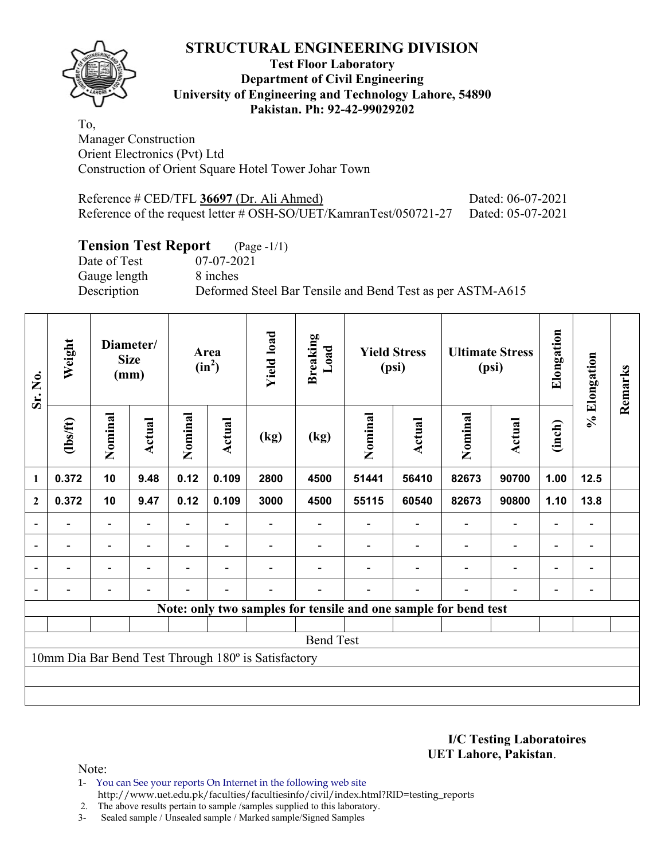**Test Floor Laboratory Department of Civil Engineering University of Engineering and Technology Lahore, 54890 Pakistan. Ph: 92-42-99029202** 

To, Manager Construction Orient Electronics (Pvt) Ltd Construction of Orient Square Hotel Tower Johar Town

| Reference # CED/TFL 36697 (Dr. Ali Ahmed)                                           | Dated: 06-07-2021 |
|-------------------------------------------------------------------------------------|-------------------|
| Reference of the request letter # OSH-SO/UET/KamranTest/050721-27 Dated: 05-07-2021 |                   |

# **Tension Test Report** (Page -1/1)<br>Date of Test 07-07-2021

Date of Test Gauge length 8 inches

Description Deformed Steel Bar Tensile and Bend Test as per ASTM-A615

| Sr. No.                  | Weight                   |                          | Diameter/<br><b>Size</b><br>(mm) |                          | Area<br>$(in^2)$         | <b>Yield load</b>                                   | <b>Breaking</b><br>Load |         | <b>Yield Stress</b><br>(psi)                                    |         | <b>Ultimate Stress</b><br>(psi) | Elongation               | % Elongation                 | Remarks |
|--------------------------|--------------------------|--------------------------|----------------------------------|--------------------------|--------------------------|-----------------------------------------------------|-------------------------|---------|-----------------------------------------------------------------|---------|---------------------------------|--------------------------|------------------------------|---------|
|                          | $\frac{2}{10}$           | Nominal                  | Actual                           | Nominal<br><b>Actual</b> |                          | (kg)                                                | (kg)                    | Nominal | Actual                                                          | Nominal | <b>Actual</b>                   | (inch)                   |                              |         |
| 1                        | 0.372                    | 10                       | 9.48                             | 0.12                     | 0.109                    | 2800                                                | 4500                    | 51441   | 56410                                                           | 82673   | 90700                           | 1.00                     | $12.5$                       |         |
| $\mathbf{2}$             | 0.372                    | 10                       | 9.47                             | 0.12                     | 0.109                    | 3000                                                | 4500                    | 55115   | 60540                                                           | 82673   | 90800                           | 1.10                     | 13.8                         |         |
| $\overline{\phantom{a}}$ |                          | $\overline{\phantom{a}}$ |                                  |                          |                          |                                                     |                         |         |                                                                 |         |                                 |                          | $\qquad \qquad \blacksquare$ |         |
| $\overline{\phantom{a}}$ | $\overline{\phantom{0}}$ | $\overline{\phantom{a}}$ | $\blacksquare$                   | $\overline{\phantom{0}}$ | $\blacksquare$           |                                                     |                         |         |                                                                 |         | $\overline{\phantom{0}}$        | $\overline{\phantom{0}}$ | $\qquad \qquad \blacksquare$ |         |
| $\overline{\phantom{0}}$ | $\overline{\phantom{0}}$ | $\overline{\phantom{a}}$ | $\overline{a}$                   |                          | $\overline{\phantom{0}}$ |                                                     |                         |         |                                                                 |         | $\overline{\phantom{0}}$        | $\overline{\phantom{0}}$ | $\overline{\phantom{0}}$     |         |
|                          |                          |                          |                                  |                          |                          |                                                     |                         |         |                                                                 |         |                                 |                          |                              |         |
|                          |                          |                          |                                  |                          |                          |                                                     |                         |         | Note: only two samples for tensile and one sample for bend test |         |                                 |                          |                              |         |
|                          |                          |                          |                                  |                          |                          |                                                     |                         |         |                                                                 |         |                                 |                          |                              |         |
|                          |                          |                          |                                  |                          |                          |                                                     | <b>Bend Test</b>        |         |                                                                 |         |                                 |                          |                              |         |
|                          |                          |                          |                                  |                          |                          | 10mm Dia Bar Bend Test Through 180° is Satisfactory |                         |         |                                                                 |         |                                 |                          |                              |         |
|                          |                          |                          |                                  |                          |                          |                                                     |                         |         |                                                                 |         |                                 |                          |                              |         |
|                          |                          |                          |                                  |                          |                          |                                                     |                         |         |                                                                 |         |                                 |                          |                              |         |

**I/C Testing Laboratoires UET Lahore, Pakistan**.

Note:

1- You can See your reports On Internet in the following web site http://www.uet.edu.pk/faculties/facultiesinfo/civil/index.html?RID=testing\_reports

2. The above results pertain to sample /samples supplied to this laboratory.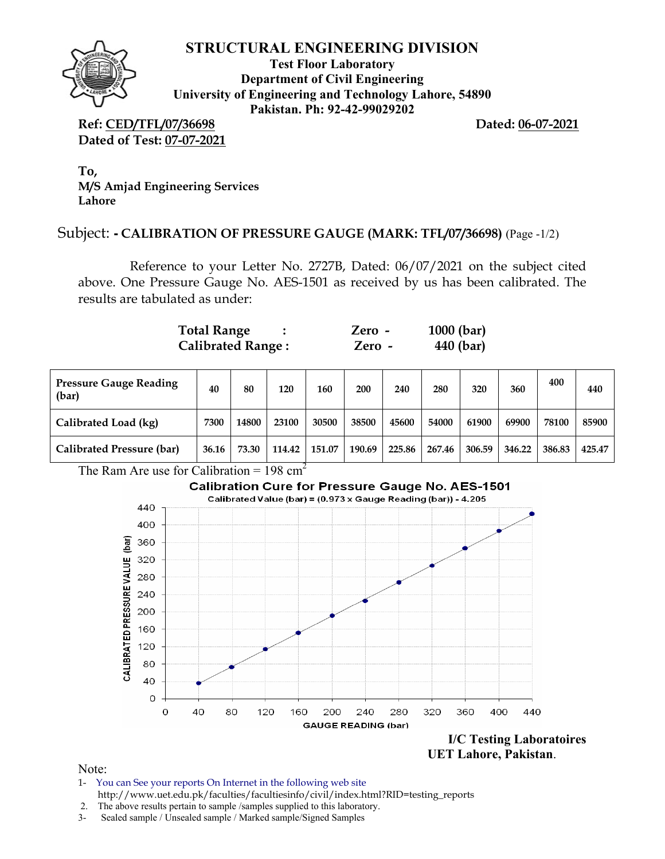

**Test Floor Laboratory Department of Civil Engineering University of Engineering and Technology Lahore, 54890 Pakistan. Ph: 92-42-99029202** 

**Ref: CED/TFL/07/36698 Dated: 06-07-2021 Dated of Test: 07-07-2021**

**To, M/S Amjad Engineering Services Lahore**

#### Subject: **- CALIBRATION OF PRESSURE GAUGE (MARK: TFL/07/36698)** (Page -1/2)

Reference to your Letter No. 2727B, Dated: 06/07/2021 on the subject cited above. One Pressure Gauge No. AES-1501 as received by us has been calibrated. The results are tabulated as under:

| <b>Total Range</b>       | $Zero -$ | $1000$ (bar) |
|--------------------------|----------|--------------|
| <b>Calibrated Range:</b> | Zero -   | 440 (bar)    |

| <b>Pressure Gauge Reading</b><br>(bar) | 40    | 80    | 120    | 160    | 200    | 240    | 280    | 320    | 360    | 400    | 440    |
|----------------------------------------|-------|-------|--------|--------|--------|--------|--------|--------|--------|--------|--------|
| Calibrated Load (kg)                   | 7300  | 14800 | 23100  | 30500  | 38500  | 45600  | 54000  | 61900  | 69900  | 78100  | 85900  |
| Calibrated Pressure (bar)              | 36.16 | 73.30 | 114.42 | 151.07 | 190.69 | 225.86 | 267.46 | 306.59 | 346.22 | 386.83 | 425.47 |

The Ram Are use for Calibration =  $198 \text{ cm}^2$ 

# **Calibration Cure for Pressure Gauge No. AES-1501**



 **UET Lahore, Pakistan**.

- 1- You can See your reports On Internet in the following web site http://www.uet.edu.pk/faculties/facultiesinfo/civil/index.html?RID=testing\_reports
- 2. The above results pertain to sample /samples supplied to this laboratory.
- 3- Sealed sample / Unsealed sample / Marked sample/Signed Samples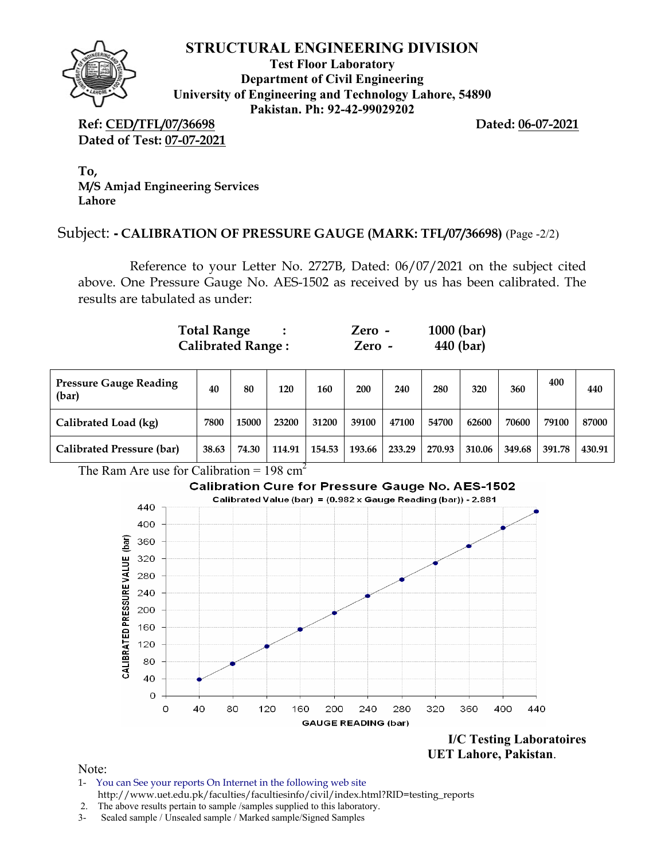

**Test Floor Laboratory Department of Civil Engineering University of Engineering and Technology Lahore, 54890 Pakistan. Ph: 92-42-99029202** 

**Ref: CED/TFL/07/36698 Dated: 06-07-2021 Dated of Test: 07-07-2021**

**To, M/S Amjad Engineering Services Lahore**

# Subject: **- CALIBRATION OF PRESSURE GAUGE (MARK: TFL/07/36698)** (Page -2/2)

Reference to your Letter No. 2727B, Dated: 06/07/2021 on the subject cited above. One Pressure Gauge No. AES-1502 as received by us has been calibrated. The results are tabulated as under:

| <b>Total Range</b>       | Zero -   | $1000$ (bar) |
|--------------------------|----------|--------------|
| <b>Calibrated Range:</b> | $Zero -$ | 440 (bar)    |

| <b>Pressure Gauge Reading</b><br>(bar) | 40    | 80    | 120    | 160    | 200    | 240    | 280    | 320    | 360    | 400    | 440    |
|----------------------------------------|-------|-------|--------|--------|--------|--------|--------|--------|--------|--------|--------|
| Calibrated Load (kg)                   | 7800  | 15000 | 23200  | 31200  | 39100  | 47100  | 54700  | 62600  | 70600  | 79100  | 87000  |
| Calibrated Pressure (bar)              | 38.63 | 74.30 | 114.91 | 154.53 | 193.66 | 233.29 | 270.93 | 310.06 | 349.68 | 391.78 | 430.91 |

The Ram Are use for Calibration =  $198 \text{ cm}^2$ 

# **Calibration Cure for Pressure Gauge No. AES-1502**



 **UET Lahore, Pakistan**.

- 1- You can See your reports On Internet in the following web site http://www.uet.edu.pk/faculties/facultiesinfo/civil/index.html?RID=testing\_reports
- 2. The above results pertain to sample /samples supplied to this laboratory.
- 3- Sealed sample / Unsealed sample / Marked sample/Signed Samples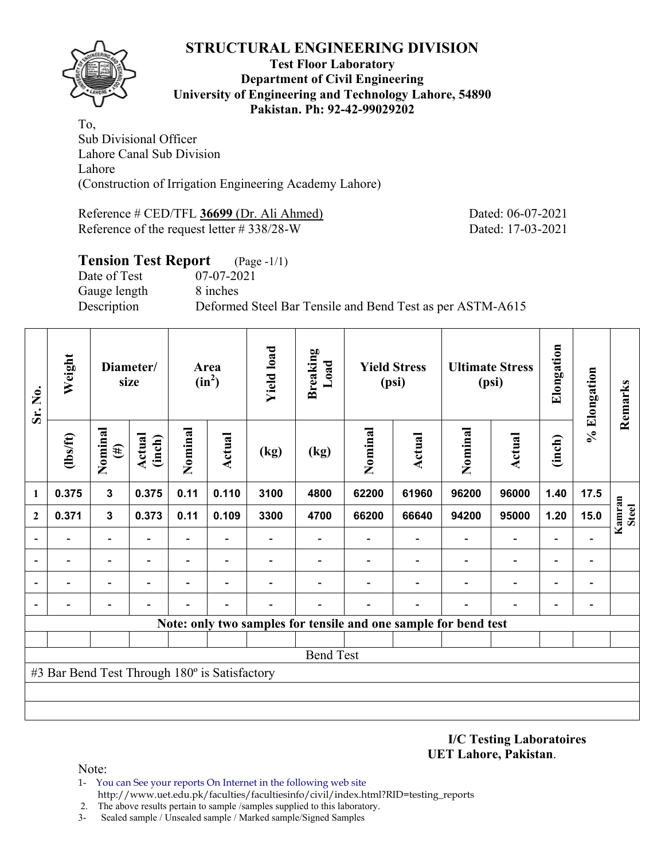

#### **Test Floor Laboratory Department of Civil Engineering University of Engineering and Technology Lahore, 54890 Pakistan. Ph: 92-42-99029202**

To, Sub Divisional Officer Lahore Canal Sub Division Lahore (Construction of Irrigation Engineering Academy Lahore)

Reference # CED/TFL **36699** (Dr. Ali Ahmed) Dated: 06-07-2021 Reference of the request letter # 338/28-W Dated: 17-03-2021

## **Tension Test Report** (Page -1/1) Date of Test 07-07-2021 Gauge length 8 inches Description Deformed Steel Bar Tensile and Bend Test as per ASTM-A615

| Sr. No.      | Weight                                        |                          | Diameter/<br>size |                | Area<br>$(in^2)$         | <b>Yield load</b> | <b>Breaking</b><br>Load                                         |         | <b>Yield Stress</b><br>(psi) |         | <b>Ultimate Stress</b><br>(psi) | Elongation | % Elongation   | Remarks                |
|--------------|-----------------------------------------------|--------------------------|-------------------|----------------|--------------------------|-------------------|-----------------------------------------------------------------|---------|------------------------------|---------|---------------------------------|------------|----------------|------------------------|
|              | $\frac{2}{10}$                                | Nominal<br>$(\#)$        | Actual<br>(inch)  | Nominal        | Actual                   | (kg)              | (kg)                                                            | Nominal | <b>Actual</b>                | Nominal | Actual                          | (inch)     |                |                        |
| 1            | 0.375                                         | $\mathbf{3}$             | 0.375             | 0.11           | 0.110                    | 3100              | 4800                                                            | 62200   | 61960                        | 96200   | 96000                           | 1.40       | 17.5           |                        |
| $\mathbf{2}$ | 0.371                                         | $\mathbf{3}$             | 0.373             | 0.11           | 0.109                    | 3300              | 4700                                                            | 66200   | 66640                        | 94200   | 95000                           | 1.20       | 15.0           | Kamran<br><b>Steel</b> |
|              |                                               |                          |                   | $\blacksquare$ |                          |                   |                                                                 |         |                              |         |                                 |            |                |                        |
|              |                                               | $\overline{\phantom{0}}$ |                   | $\blacksquare$ |                          |                   |                                                                 |         |                              |         | ۰                               |            | $\blacksquare$ |                        |
|              |                                               | ۰                        |                   | -              | $\overline{\phantom{0}}$ |                   |                                                                 |         |                              |         | $\blacksquare$                  |            | $\overline{a}$ |                        |
|              |                                               |                          |                   |                |                          |                   |                                                                 |         |                              |         |                                 |            | $\overline{a}$ |                        |
|              |                                               |                          |                   |                |                          |                   | Note: only two samples for tensile and one sample for bend test |         |                              |         |                                 |            |                |                        |
|              |                                               |                          |                   |                |                          |                   |                                                                 |         |                              |         |                                 |            |                |                        |
|              |                                               |                          |                   |                |                          |                   | <b>Bend Test</b>                                                |         |                              |         |                                 |            |                |                        |
|              | #3 Bar Bend Test Through 180° is Satisfactory |                          |                   |                |                          |                   |                                                                 |         |                              |         |                                 |            |                |                        |
|              |                                               |                          |                   |                |                          |                   |                                                                 |         |                              |         |                                 |            |                |                        |
|              |                                               |                          |                   |                |                          |                   |                                                                 |         |                              |         |                                 |            |                |                        |

**I/C Testing Laboratoires UET Lahore, Pakistan**.

- 1- You can See your reports On Internet in the following web site http://www.uet.edu.pk/faculties/facultiesinfo/civil/index.html?RID=testing\_reports
- 2. The above results pertain to sample /samples supplied to this laboratory.
- 3- Sealed sample / Unsealed sample / Marked sample/Signed Samples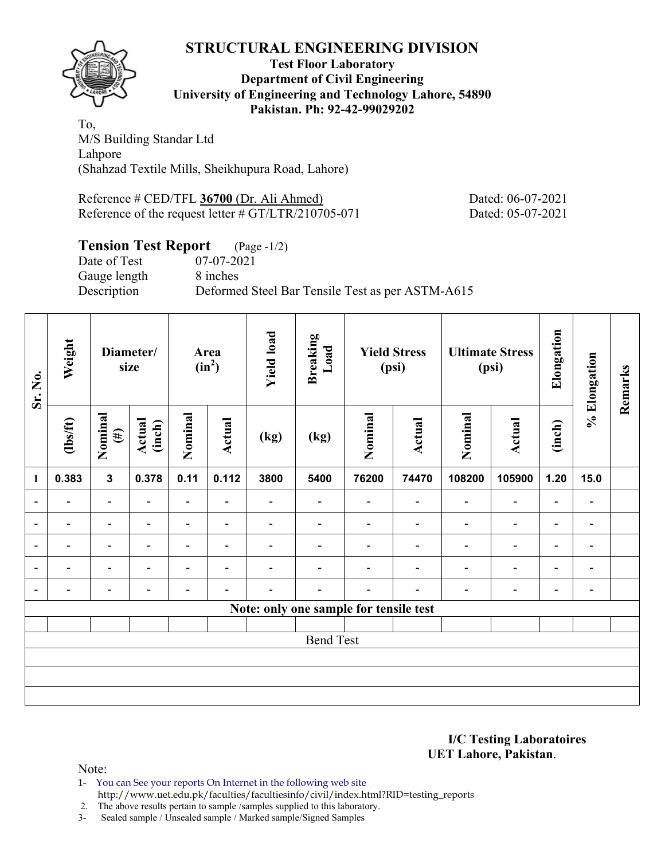

#### **Test Floor Laboratory Department of Civil Engineering University of Engineering and Technology Lahore, 54890 Pakistan. Ph: 92-42-99029202**

To, M/S Building Standar Ltd Lahpore (Shahzad Textile Mills, Sheikhupura Road, Lahore)

Reference # CED/TFL **36700** (Dr. Ali Ahmed) Dated: 06-07-2021 Reference of the request letter # GT/LTR/210705-071 Dated: 05-07-2021

# **Tension Test Report** (Page -1/2)

Date of Test 07-07-2021 Gauge length 8 inches

Description Deformed Steel Bar Tensile Test as per ASTM-A615

| Sr. No.                  | Weight                   |                              | Diameter/<br>size        |                          | Area<br>$(in^2)$         | <b>Yield load</b>        | <b>Breaking</b><br>Load                |                          | <b>Yield Stress</b><br>(psi) |                          | <b>Ultimate Stress</b><br>(psi) | Elongation               | % Elongation             | Remarks |
|--------------------------|--------------------------|------------------------------|--------------------------|--------------------------|--------------------------|--------------------------|----------------------------------------|--------------------------|------------------------------|--------------------------|---------------------------------|--------------------------|--------------------------|---------|
|                          | $\frac{2}{10}$           | Nominal<br>$(\#)$            | Actual<br>(inch)         | Nominal                  | Actual                   | (kg)                     | (kg)                                   | Nominal                  | Actual                       | Nominal                  | Actual                          | (inch)                   |                          |         |
| 1                        | 0.383                    | $\mathbf{3}$                 | 0.378                    | 0.11                     | 0.112                    | 3800                     | 5400                                   | 76200                    | 74470                        | 108200                   | 105900                          | 1.20                     | 15.0                     |         |
| $\overline{\phantom{a}}$ |                          | $\overline{\phantom{0}}$     |                          | $\overline{\phantom{a}}$ |                          |                          | $\overline{\phantom{0}}$               | $\overline{\phantom{0}}$ |                              | $\overline{\phantom{0}}$ | $\overline{\phantom{a}}$        | -                        | -                        |         |
| $\overline{\phantom{0}}$ | $\overline{\phantom{0}}$ | $\overline{\phantom{0}}$     | $\overline{\phantom{0}}$ | $\overline{\phantom{0}}$ | $\blacksquare$           |                          |                                        |                          | ۰                            | $\overline{\phantom{0}}$ | $\overline{\phantom{a}}$        | $\overline{\phantom{0}}$ | $\blacksquare$           |         |
| $\overline{\phantom{0}}$ | $\overline{\phantom{0}}$ | $\qquad \qquad \blacksquare$ | $\overline{\phantom{0}}$ | $\overline{\phantom{a}}$ | $\blacksquare$           | $\overline{\phantom{0}}$ |                                        |                          | $\overline{\phantom{0}}$     | $\overline{\phantom{0}}$ | $\overline{\phantom{a}}$        | $\overline{\phantom{a}}$ | $\overline{\phantom{a}}$ |         |
| $\overline{a}$           | -                        | $\overline{\phantom{0}}$     | $\overline{\phantom{0}}$ | -                        | $\overline{\phantom{a}}$ |                          |                                        |                          | ۰                            | $\overline{\phantom{0}}$ | $\overline{\phantom{a}}$        | $\overline{\phantom{0}}$ | $\overline{\phantom{a}}$ |         |
| $\overline{a}$           |                          | $\overline{\phantom{0}}$     |                          |                          | $\overline{\phantom{a}}$ |                          |                                        |                          |                              |                          | $\overline{\phantom{a}}$        | $\overline{\phantom{0}}$ | $\blacksquare$           |         |
|                          |                          |                              |                          |                          |                          |                          | Note: only one sample for tensile test |                          |                              |                          |                                 |                          |                          |         |
|                          |                          |                              |                          |                          |                          |                          |                                        |                          |                              |                          |                                 |                          |                          |         |
|                          | <b>Bend Test</b>         |                              |                          |                          |                          |                          |                                        |                          |                              |                          |                                 |                          |                          |         |
|                          |                          |                              |                          |                          |                          |                          |                                        |                          |                              |                          |                                 |                          |                          |         |
|                          |                          |                              |                          |                          |                          |                          |                                        |                          |                              |                          |                                 |                          |                          |         |
|                          |                          |                              |                          |                          |                          |                          |                                        |                          |                              |                          |                                 |                          |                          |         |

**I/C Testing Laboratoires UET Lahore, Pakistan**.

Note:

1- You can See your reports On Internet in the following web site

http://www.uet.edu.pk/faculties/facultiesinfo/civil/index.html?RID=testing\_reports

2. The above results pertain to sample /samples supplied to this laboratory.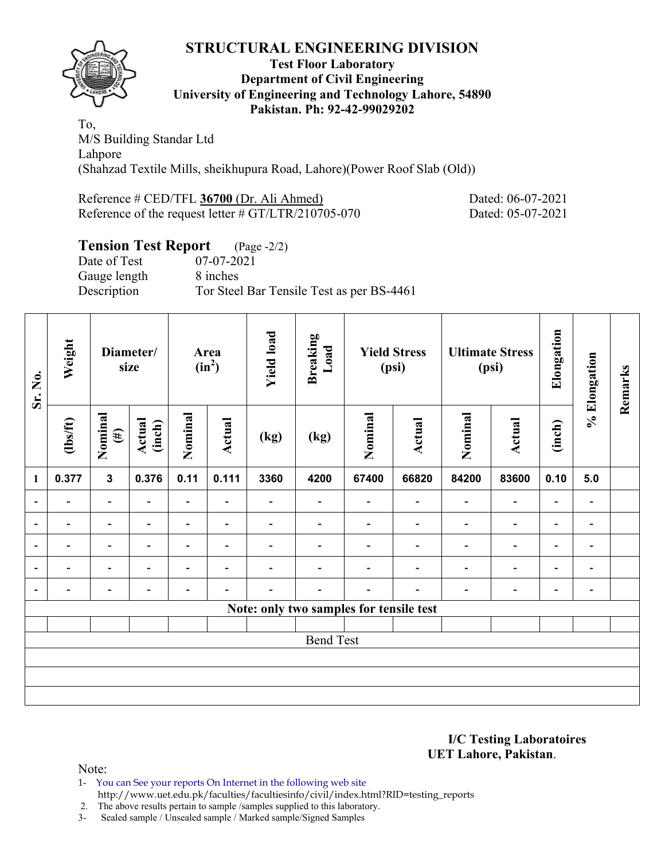

#### **Test Floor Laboratory Department of Civil Engineering University of Engineering and Technology Lahore, 54890 Pakistan. Ph: 92-42-99029202**

To, M/S Building Standar Ltd Lahpore (Shahzad Textile Mills, sheikhupura Road, Lahore)(Power Roof Slab (Old))

Reference # CED/TFL **36700** (Dr. Ali Ahmed) Dated: 06-07-2021 Reference of the request letter # GT/LTR/210705-070 Dated: 05-07-2021

# **Tension Test Report** (Page -2/2)

Date of Test 07-07-2021 Gauge length 8 inches Description Tor Steel Bar Tensile Test as per BS-4461

| Sr. No.        | Weight                   |                          | Diameter/<br>size        | Area<br>$(in^2)$         |                          | <b>Yield load</b>        | <b>Breaking</b><br>Load | <b>Yield Stress</b><br>(psi)            |                          |                          | <b>Ultimate Stress</b><br>(psi) | Elongation               | % Elongation                 | Remarks |
|----------------|--------------------------|--------------------------|--------------------------|--------------------------|--------------------------|--------------------------|-------------------------|-----------------------------------------|--------------------------|--------------------------|---------------------------------|--------------------------|------------------------------|---------|
|                | $\frac{2}{10}$           | Nominal<br>$(\#)$        | Actual<br>(inch)         | Nominal                  | Actual                   | (kg)                     | (kg)                    | Nominal                                 | Actual                   | Nominal                  | Actual                          | (inch)                   |                              |         |
| $\mathbf{1}$   | 0.377                    | $\mathbf{3}$             | 0.376                    | 0.11                     | 0.111                    | 3360                     | 4200                    | 67400                                   | 66820                    | 84200                    | 83600                           | 0.10                     | 5.0                          |         |
| $\blacksquare$ | $\blacksquare$           | $\blacksquare$           |                          | ٠                        |                          | $\blacksquare$           |                         |                                         | $\blacksquare$           | $\blacksquare$           | $\overline{\phantom{0}}$        | ۰                        |                              |         |
| $\blacksquare$ | $\overline{\phantom{0}}$ | $\overline{\phantom{a}}$ |                          | $\overline{\phantom{0}}$ | ٠                        |                          |                         |                                         | $\overline{\phantom{0}}$ | $\overline{\phantom{0}}$ | $\qquad \qquad \blacksquare$    | $\overline{\phantom{a}}$ |                              |         |
| ۰              | $\overline{\phantom{0}}$ | $\overline{\phantom{a}}$ | $\overline{\phantom{0}}$ | $\overline{\phantom{0}}$ | $\blacksquare$           | $\overline{\phantom{0}}$ |                         |                                         | $\overline{\phantom{0}}$ | $\overline{\phantom{0}}$ | $\overline{\phantom{0}}$        | $\overline{\phantom{a}}$ | $\blacksquare$               |         |
|                | $\overline{\phantom{0}}$ | $\overline{\phantom{0}}$ |                          | $\overline{\phantom{0}}$ | ٠                        |                          |                         |                                         |                          | $\overline{\phantom{0}}$ | $\overline{\phantom{0}}$        | $\overline{\phantom{0}}$ | $\qquad \qquad \blacksquare$ |         |
|                | $\overline{\phantom{0}}$ | $\overline{\phantom{0}}$ |                          | -                        | $\overline{\phantom{0}}$ |                          | -                       |                                         |                          | ۰                        | $\qquad \qquad \blacksquare$    | $\overline{\phantom{a}}$ | $\blacksquare$               |         |
|                |                          |                          |                          |                          |                          |                          |                         | Note: only two samples for tensile test |                          |                          |                                 |                          |                              |         |
|                |                          |                          |                          |                          |                          |                          |                         |                                         |                          |                          |                                 |                          |                              |         |
|                |                          |                          |                          |                          |                          |                          | <b>Bend Test</b>        |                                         |                          |                          |                                 |                          |                              |         |
|                |                          |                          |                          |                          |                          |                          |                         |                                         |                          |                          |                                 |                          |                              |         |
|                |                          |                          |                          |                          |                          |                          |                         |                                         |                          |                          |                                 |                          |                              |         |
|                |                          |                          |                          |                          |                          |                          |                         |                                         |                          |                          |                                 |                          |                              |         |

**I/C Testing Laboratoires UET Lahore, Pakistan**.

Note:

1- You can See your reports On Internet in the following web site http://www.uet.edu.pk/faculties/facultiesinfo/civil/index.html?RID=testing\_reports

2. The above results pertain to sample /samples supplied to this laboratory.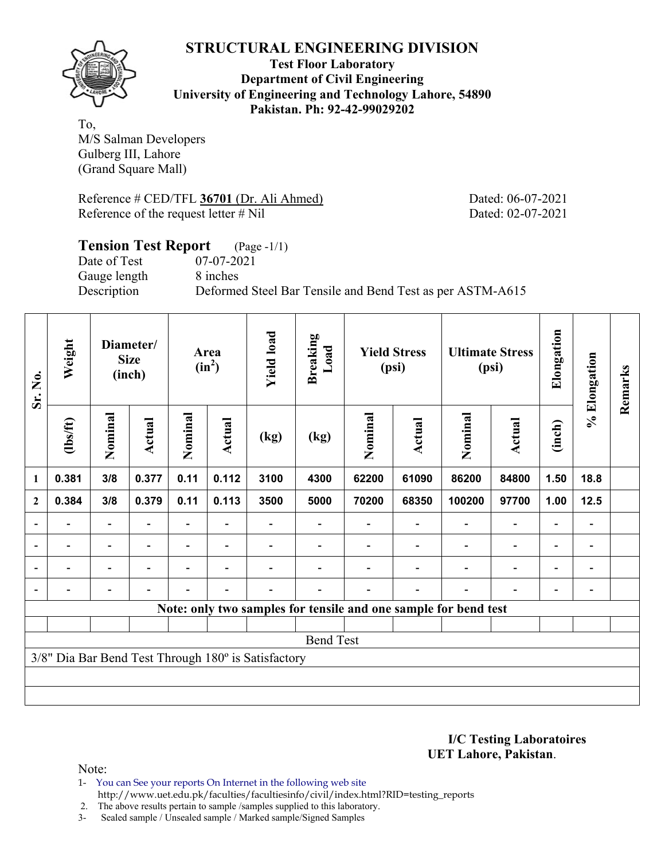

**Test Floor Laboratory Department of Civil Engineering University of Engineering and Technology Lahore, 54890 Pakistan. Ph: 92-42-99029202** 

To, M/S Salman Developers Gulberg III, Lahore (Grand Square Mall)

Reference # CED/TFL **36701** (Dr. Ali Ahmed) Dated: 06-07-2021 Reference of the request letter # Nil Dated: 02-07-2021

# **Tension Test Report** (Page -1/1) Date of Test 07-07-2021 Gauge length 8 inches Description Deformed Steel Bar Tensile and Bend Test as per ASTM-A615

| Sr. No.        | Weight         |                          | Diameter/<br><b>Size</b><br>(inch) |                | Area<br>$(in^2)$                                          |                                                     | <b>Breaking</b><br>Load | <b>Yield Stress</b><br>(psi) |                          |                                                                 | <b>Ultimate Stress</b><br>(psi) | Elongation                   | % Elongation                 | Remarks |
|----------------|----------------|--------------------------|------------------------------------|----------------|-----------------------------------------------------------|-----------------------------------------------------|-------------------------|------------------------------|--------------------------|-----------------------------------------------------------------|---------------------------------|------------------------------|------------------------------|---------|
|                | (1bs/ft)       | Nominal                  | Actual                             | Nominal        | Nominal<br><b>Actual</b><br><b>Actual</b><br>(kg)<br>(kg) |                                                     | Nominal                 | <b>Actual</b>                | (inch)                   |                                                                 |                                 |                              |                              |         |
| 1              | 0.381          | 3/8                      | 0.377                              | 0.11           | 0.112                                                     | 3100                                                | 4300                    | 62200                        | 61090                    | 86200                                                           | 84800                           | 1.50                         | 18.8                         |         |
| $\mathbf{2}$   | 0.384          | 3/8                      | 0.379                              | 0.11           | 0.113                                                     | 3500                                                | 5000                    | 70200                        | 68350                    | 100200                                                          | 97700                           | 1.00                         | 12.5                         |         |
|                |                |                          |                                    |                |                                                           |                                                     |                         |                              |                          |                                                                 |                                 |                              |                              |         |
| $\overline{a}$ |                | $\overline{\phantom{a}}$ | $\overline{\phantom{a}}$           |                | $\blacksquare$                                            |                                                     |                         |                              |                          | $\blacksquare$                                                  | $\overline{a}$                  | $\qquad \qquad \blacksquare$ | $\qquad \qquad \blacksquare$ |         |
|                | $\blacksquare$ | $\overline{\phantom{0}}$ |                                    | $\blacksquare$ | $\blacksquare$                                            |                                                     |                         |                              |                          | ۰                                                               | $\overline{\phantom{0}}$        | $\overline{\phantom{0}}$     |                              |         |
|                |                | $\overline{\phantom{0}}$ | $\blacksquare$                     |                | $\blacksquare$                                            |                                                     |                         |                              | $\overline{\phantom{0}}$ |                                                                 | $\overline{a}$                  | $\overline{\phantom{0}}$     |                              |         |
|                |                |                          |                                    |                |                                                           |                                                     |                         |                              |                          | Note: only two samples for tensile and one sample for bend test |                                 |                              |                              |         |
|                |                |                          |                                    |                |                                                           |                                                     |                         |                              |                          |                                                                 |                                 |                              |                              |         |
|                |                |                          |                                    |                |                                                           |                                                     | <b>Bend Test</b>        |                              |                          |                                                                 |                                 |                              |                              |         |
|                |                |                          |                                    |                |                                                           | 3/8" Dia Bar Bend Test Through 180° is Satisfactory |                         |                              |                          |                                                                 |                                 |                              |                              |         |
|                |                |                          |                                    |                |                                                           |                                                     |                         |                              |                          |                                                                 |                                 |                              |                              |         |
|                |                |                          |                                    |                |                                                           |                                                     |                         |                              |                          |                                                                 |                                 |                              |                              |         |

**I/C Testing Laboratoires UET Lahore, Pakistan**.

Note:

1- You can See your reports On Internet in the following web site http://www.uet.edu.pk/faculties/facultiesinfo/civil/index.html?RID=testing\_reports

2. The above results pertain to sample /samples supplied to this laboratory.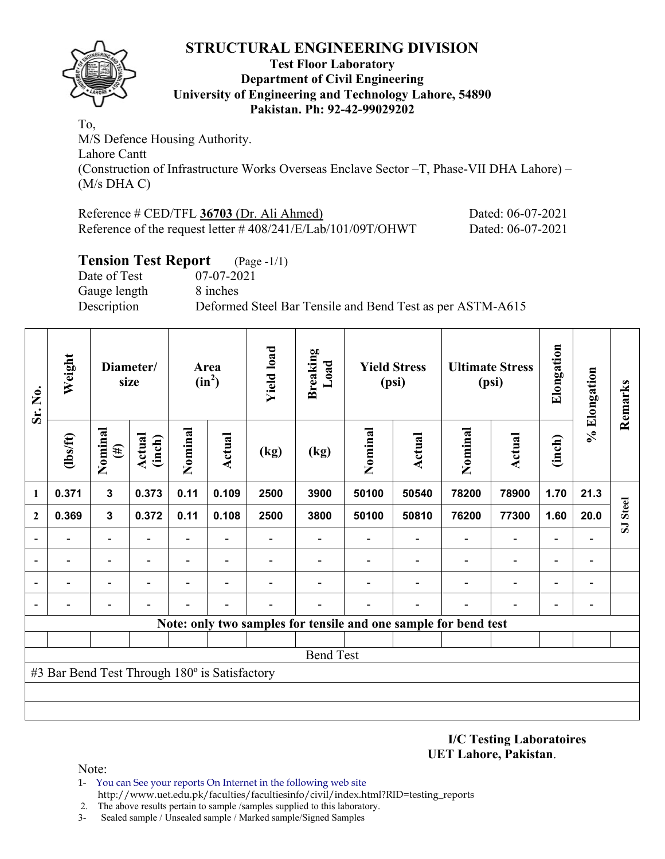

#### **Test Floor Laboratory Department of Civil Engineering University of Engineering and Technology Lahore, 54890 Pakistan. Ph: 92-42-99029202**

To, M/S Defence Housing Authority. Lahore Cantt (Construction of Infrastructure Works Overseas Enclave Sector –T, Phase-VII DHA Lahore) – (M/s DHA C)

| Reference # CED/TFL 36703 (Dr. Ali Ahmed)                       | Dated: 06-07-2021 |
|-----------------------------------------------------------------|-------------------|
| Reference of the request letter $\# 408/241/E/Lab/101/09T/OHWT$ | Dated: 06-07-2021 |

# **Tension Test Report** (Page -1/1)

Date of Test 07-07-2021 Gauge length 8 inches

Description Deformed Steel Bar Tensile and Bend Test as per ASTM-A615

| Sr. No.                                                         | Weight                   | Diameter/<br>size        |                          |                |                          | Area<br>$(in^2)$ |      | <b>Yield load</b> | <b>Breaking</b><br>Load | <b>Yield Stress</b><br>(psi) |                          | <b>Ultimate Stress</b><br>(psi) |                          | Elongation | % Elongation | Remarks |
|-----------------------------------------------------------------|--------------------------|--------------------------|--------------------------|----------------|--------------------------|------------------|------|-------------------|-------------------------|------------------------------|--------------------------|---------------------------------|--------------------------|------------|--------------|---------|
|                                                                 | $\frac{2}{10}$           | Nominal<br>$(\#)$        | Actual<br>(inch)         | Nominal        | Actual                   | (kg)             | (kg) | Nominal           | <b>Actual</b>           | Nominal                      | <b>Actual</b>            | (inch)                          |                          |            |              |         |
| $\mathbf{1}$                                                    | 0.371                    | $\mathbf{3}$             | 0.373                    | 0.11           | 0.109                    | 2500             | 3900 | 50100             | 50540                   | 78200                        | 78900                    | 1.70                            | 21.3                     |            |              |         |
| $\overline{2}$                                                  | 0.369                    | 3                        | 0.372                    | 0.11           | 0.108                    | 2500             | 3800 | 50100             | 50810                   | 76200                        | 77300                    | 1.60                            | 20.0                     | SJ Steel   |              |         |
| $\blacksquare$                                                  | $\overline{\phantom{0}}$ | $\blacksquare$           |                          | Ξ.             |                          |                  |      |                   |                         |                              | $\overline{\phantom{0}}$ |                                 |                          |            |              |         |
| $\overline{\phantom{0}}$                                        |                          | $\overline{\phantom{0}}$ | $\overline{\phantom{0}}$ | $\overline{a}$ | $\overline{\phantom{0}}$ |                  |      |                   |                         | $\blacksquare$               | $\overline{\phantom{a}}$ | $\overline{a}$                  | $\overline{\phantom{0}}$ |            |              |         |
| $\overline{\phantom{a}}$                                        |                          |                          |                          |                |                          |                  |      |                   |                         |                              |                          |                                 | $\blacksquare$           |            |              |         |
| $\blacksquare$                                                  |                          |                          |                          |                |                          |                  |      |                   |                         |                              |                          |                                 | $\blacksquare$           |            |              |         |
| Note: only two samples for tensile and one sample for bend test |                          |                          |                          |                |                          |                  |      |                   |                         |                              |                          |                                 |                          |            |              |         |
|                                                                 |                          |                          |                          |                |                          |                  |      |                   |                         |                              |                          |                                 |                          |            |              |         |
| <b>Bend Test</b>                                                |                          |                          |                          |                |                          |                  |      |                   |                         |                              |                          |                                 |                          |            |              |         |
| #3 Bar Bend Test Through 180° is Satisfactory                   |                          |                          |                          |                |                          |                  |      |                   |                         |                              |                          |                                 |                          |            |              |         |
|                                                                 |                          |                          |                          |                |                          |                  |      |                   |                         |                              |                          |                                 |                          |            |              |         |
|                                                                 |                          |                          |                          |                |                          |                  |      |                   |                         |                              |                          |                                 |                          |            |              |         |

**I/C Testing Laboratoires UET Lahore, Pakistan**.

- 1- You can See your reports On Internet in the following web site http://www.uet.edu.pk/faculties/facultiesinfo/civil/index.html?RID=testing\_reports
- 2. The above results pertain to sample /samples supplied to this laboratory.
- 3- Sealed sample / Unsealed sample / Marked sample/Signed Samples